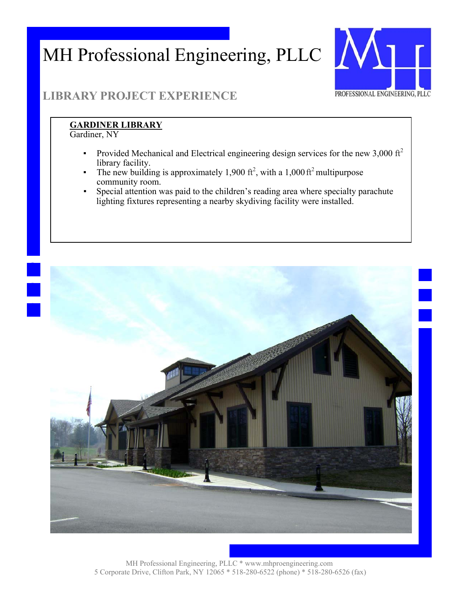### MH Professional Engineering, PLLC



#### **LIBRARY PROJECT EXPERIENCE**

#### **GARDINER LIBRARY**

Gardiner, NY

- Provided Mechanical and Electrical engineering design services for the new 3,000  $\text{ft}^2$ library facility.
- **•** The new building is approximately 1,900 ft<sup>2</sup>, with a 1,000 ft<sup>2</sup> multipurpose community room.
- Special attention was paid to the children's reading area where specialty parachute lighting fixtures representing a nearby skydiving facility were installed.

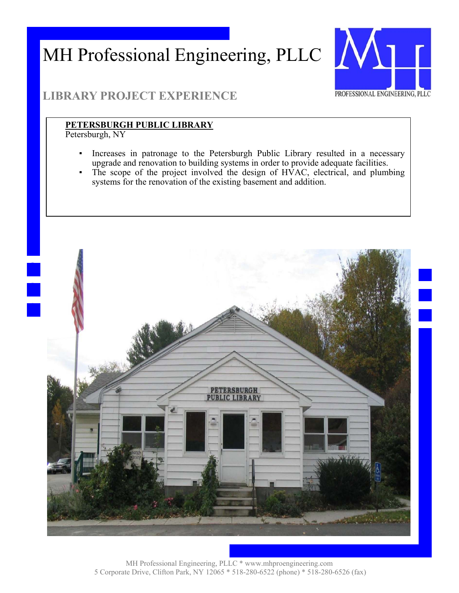## MH Professional Engineering, PLLC XX



#### **LIBRARY PROJECT EXPERIENCE**

#### **PETERSBURGH PUBLIC LIBRARY**

Petersburgh, NY

- Increases in patronage to the Petersburgh Public Library resulted in a necessary upgrade and renovation to building systems in order to provide adequate facilities.
- The scope of the project involved the design of  $H\dot{V}$ AC, electrical, and plumbing systems for the renovation of the existing basement and addition.